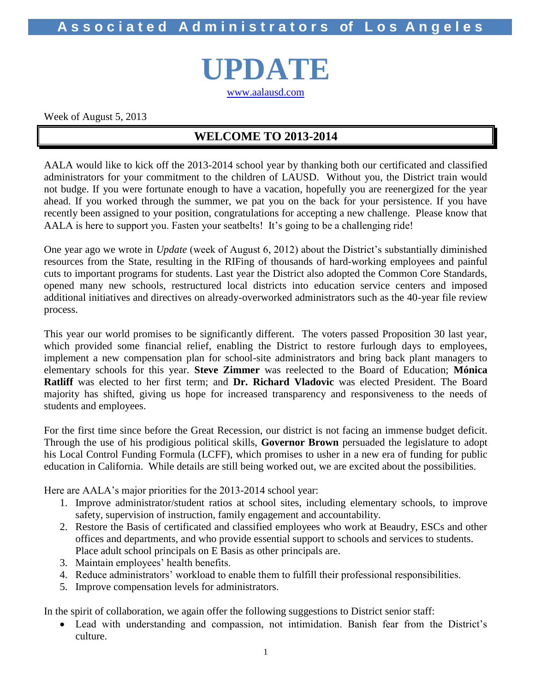**A s s o c i a t e d A d m i n i s t r a t o r s of L o s A n g e l e s**

**UPDATE**

[www.aalausd.com](http://www.aalausd.com/)

Week of August 5, 2013

### **WELCOME TO 2013-2014**

AALA would like to kick off the 2013-2014 school year by thanking both our certificated and classified administrators for your commitment to the children of LAUSD. Without you, the District train would not budge. If you were fortunate enough to have a vacation, hopefully you are reenergized for the year ahead. If you worked through the summer, we pat you on the back for your persistence. If you have recently been assigned to your position, congratulations for accepting a new challenge. Please know that AALA is here to support you. Fasten your seatbelts! It's going to be a challenging ride!

One year ago we wrote in *Update* (week of August 6, 2012) about the District's substantially diminished resources from the State, resulting in the RIFing of thousands of hard-working employees and painful cuts to important programs for students. Last year the District also adopted the Common Core Standards, opened many new schools, restructured local districts into education service centers and imposed additional initiatives and directives on already-overworked administrators such as the 40-year file review process.

This year our world promises to be significantly different. The voters passed Proposition 30 last year, which provided some financial relief, enabling the District to restore furlough days to employees, implement a new compensation plan for school-site administrators and bring back plant managers to elementary schools for this year. **Steve Zimmer** was reelected to the Board of Education; **Mónica Ratliff** was elected to her first term; and **Dr. Richard Vladovic** was elected President. The Board majority has shifted, giving us hope for increased transparency and responsiveness to the needs of students and employees.

For the first time since before the Great Recession, our district is not facing an immense budget deficit. Through the use of his prodigious political skills, **Governor Brown** persuaded the legislature to adopt his Local Control Funding Formula (LCFF), which promises to usher in a new era of funding for public education in California. While details are still being worked out, we are excited about the possibilities.

Here are AALA's major priorities for the 2013-2014 school year:

- 1. Improve administrator/student ratios at school sites, including elementary schools, to improve safety, supervision of instruction, family engagement and accountability.
- 2. Restore the Basis of certificated and classified employees who work at Beaudry, ESCs and other offices and departments, and who provide essential support to schools and services to students. Place adult school principals on E Basis as other principals are.
- 3. Maintain employees' health benefits.
- 4. Reduce administrators' workload to enable them to fulfill their professional responsibilities.
- 5. Improve compensation levels for administrators.

In the spirit of collaboration, we again offer the following suggestions to District senior staff:

 Lead with understanding and compassion, not intimidation. Banish fear from the District's culture.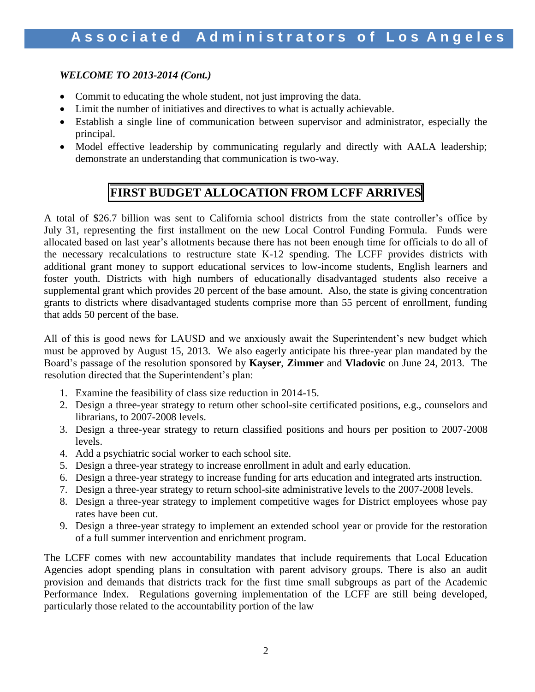### *WELCOME TO 2013-2014 (Cont.)*

- Commit to educating the whole student, not just improving the data.
- Limit the number of initiatives and directives to what is actually achievable.
- Establish a single line of communication between supervisor and administrator, especially the principal.
- Model effective leadership by communicating regularly and directly with AALA leadership; demonstrate an understanding that communication is two-way.

### **FIRST BUDGET ALLOCATION FROM LCFF ARRIVES**

A total of \$26.7 billion was sent to California school districts from the state controller's office by July 31, representing the first installment on the new Local Control Funding Formula. Funds were allocated based on last year's allotments because there has not been enough time for officials to do all of the necessary recalculations to restructure state K-12 spending. The LCFF provides districts with additional grant money to support educational services to low-income students, English learners and foster youth. Districts with high numbers of educationally disadvantaged students also receive a supplemental grant which provides 20 percent of the base amount. Also, the state is giving concentration grants to districts where disadvantaged students comprise more than 55 percent of enrollment, funding that adds 50 percent of the base.

All of this is good news for LAUSD and we anxiously await the Superintendent's new budget which must be approved by August 15, 2013. We also eagerly anticipate his three-year plan mandated by the Board's passage of the resolution sponsored by **Kayser**, **Zimmer** and **Vladovic** on June 24, 2013. The resolution directed that the Superintendent's plan:

- 1. Examine the feasibility of class size reduction in 2014-15.
- 2. Design a three-year strategy to return other school-site certificated positions, e.g., counselors and librarians, to 2007-2008 levels.
- 3. Design a three-year strategy to return classified positions and hours per position to 2007-2008 levels.
- 4. Add a psychiatric social worker to each school site.
- 5. Design a three-year strategy to increase enrollment in adult and early education.
- 6. Design a three-year strategy to increase funding for arts education and integrated arts instruction.
- 7. Design a three-year strategy to return school-site administrative levels to the 2007-2008 levels.
- 8. Design a three-year strategy to implement competitive wages for District employees whose pay rates have been cut.
- 9. Design a three-year strategy to implement an extended school year or provide for the restoration of a full summer intervention and enrichment program.

The LCFF comes with new accountability mandates that include requirements that Local Education Agencies adopt spending plans in consultation with parent advisory groups. There is also an audit provision and demands that districts track for the first time small subgroups as part of the Academic Performance Index. Regulations governing implementation of the LCFF are still being developed, particularly those related to the accountability portion of the law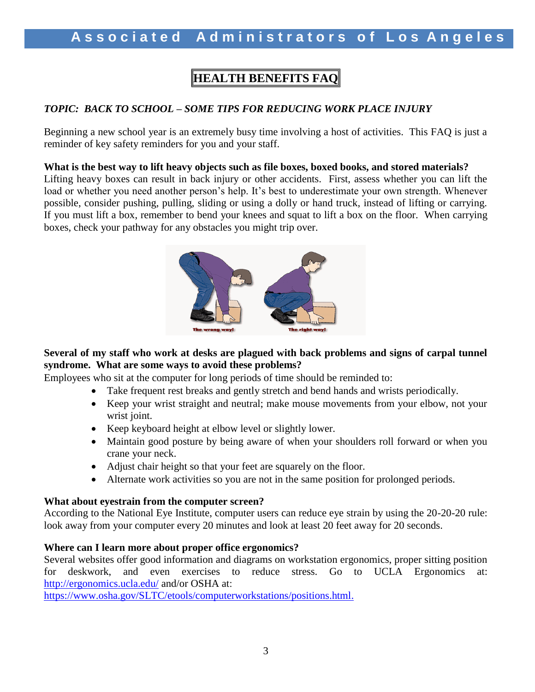# **HEALTH BENEFITS FAQ**

### *TOPIC: BACK TO SCHOOL – SOME TIPS FOR REDUCING WORK PLACE INJURY*

Beginning a new school year is an extremely busy time involving a host of activities. This FAQ is just a reminder of key safety reminders for you and your staff.

#### **What is the best way to lift heavy objects such as file boxes, boxed books, and stored materials?**

Lifting heavy boxes can result in back injury or other accidents. First, assess whether you can lift the load or whether you need another person's help. It's best to underestimate your own strength. Whenever possible, consider pushing, pulling, sliding or using a dolly or hand truck, instead of lifting or carrying. If you must lift a box, remember to bend your knees and squat to lift a box on the floor. When carrying boxes, check your pathway for any obstacles you might trip over.



### **Several of my staff who work at desks are plagued with back problems and signs of carpal tunnel syndrome. What are some ways to avoid these problems?**

Employees who sit at the computer for long periods of time should be reminded to:

- Take frequent rest breaks and gently stretch and bend hands and wrists periodically.
- Keep your wrist straight and neutral; make mouse movements from your elbow, not your wrist joint.
- Keep keyboard height at elbow level or slightly lower.
- Maintain good posture by being aware of when your shoulders roll forward or when you crane your neck.
- Adjust chair height so that your feet are squarely on the floor.
- Alternate work activities so you are not in the same position for prolonged periods.

#### **What about eyestrain from the computer screen?**

According to the National Eye Institute, computer users can reduce eye strain by using the 20-20-20 rule: look away from your computer every 20 minutes and look at least 20 feet away for 20 seconds.

#### **Where can I learn more about proper office ergonomics?**

Several websites offer good information and diagrams on workstation ergonomics, proper sitting position for deskwork, and even exercises to reduce stress. Go to UCLA Ergonomics at: <http://ergonomics.ucla.edu/> and/or OSHA at:

[https://www.osha.gov/SLTC/etools/computerworkstations/positions.html.](https://www.osha.gov/SLTC/etools/computerworkstations/positions.html)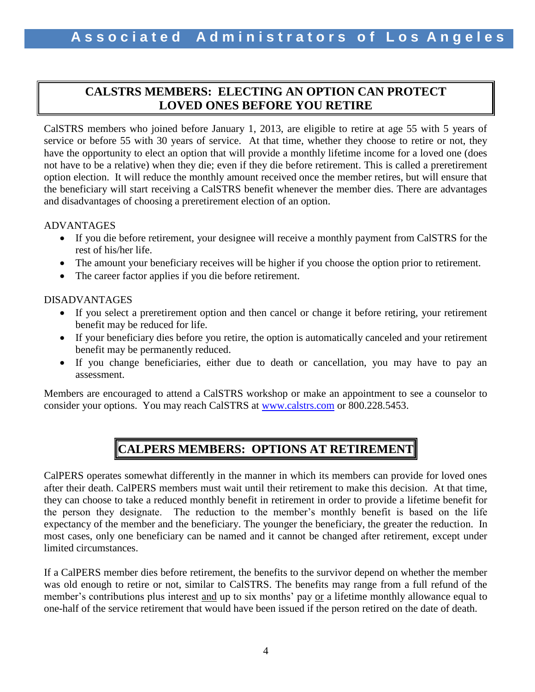### **CALSTRS MEMBERS: ELECTING AN OPTION CAN PROTECT LOVED ONES BEFORE YOU RETIRE**

CalSTRS members who joined before January 1, 2013, are eligible to retire at age 55 with 5 years of service or before 55 with 30 years of service. At that time, whether they choose to retire or not, they have the opportunity to elect an option that will provide a monthly lifetime income for a loved one (does not have to be a relative) when they die; even if they die before retirement. This is called a preretirement option election. It will reduce the monthly amount received once the member retires, but will ensure that the beneficiary will start receiving a CalSTRS benefit whenever the member dies. There are advantages and disadvantages of choosing a preretirement election of an option.

### ADVANTAGES

- If you die before retirement, your designee will receive a monthly payment from CalSTRS for the rest of his/her life.
- The amount your beneficiary receives will be higher if you choose the option prior to retirement.
- The career factor applies if you die before retirement.

### DISADVANTAGES

- If you select a preretirement option and then cancel or change it before retiring, your retirement benefit may be reduced for life.
- If your beneficiary dies before you retire, the option is automatically canceled and your retirement benefit may be permanently reduced.
- If you change beneficiaries, either due to death or cancellation, you may have to pay an assessment.

Members are encouraged to attend a CalSTRS workshop or make an appointment to see a counselor to consider your options. You may reach CalSTRS at [www.calstrs.com](http://www.calstrs.com/) or 800.228.5453.

# **CALPERS MEMBERS: OPTIONS AT RETIREMENT**

CalPERS operates somewhat differently in the manner in which its members can provide for loved ones after their death. CalPERS members must wait until their retirement to make this decision. At that time, they can choose to take a reduced monthly benefit in retirement in order to provide a lifetime benefit for the person they designate. The reduction to the member's monthly benefit is based on the life expectancy of the member and the beneficiary. The younger the beneficiary, the greater the reduction. In most cases, only one beneficiary can be named and it cannot be changed after retirement, except under limited circumstances.

If a CalPERS member dies before retirement, the benefits to the survivor depend on whether the member was old enough to retire or not, similar to CalSTRS. The benefits may range from a full refund of the member's contributions plus interest and up to six months' pay or a lifetime monthly allowance equal to one-half of the service retirement that would have been issued if the person retired on the date of death.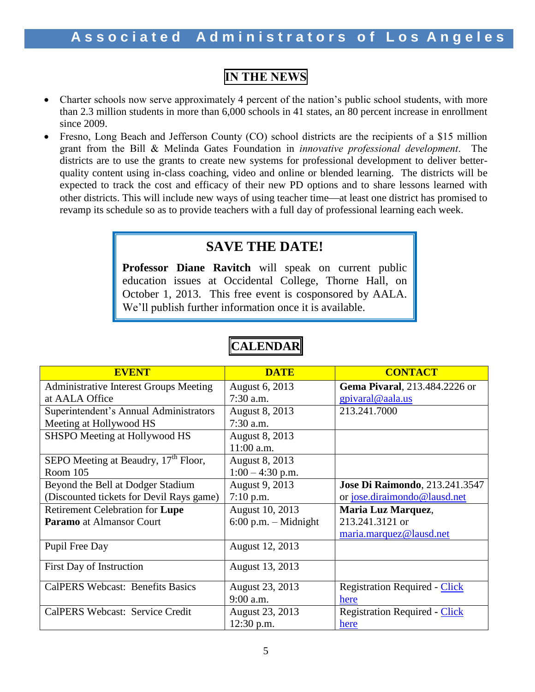# **IN THE NEWS**

- Charter schools now serve approximately 4 percent of the nation's public school students, with more than 2.3 million students in more than 6,000 schools in 41 states, an 80 percent increase in enrollment since 2009.
- Fresno, Long Beach and Jefferson County (CO) school districts are the recipients of a \$15 million grant from the Bill & Melinda Gates Foundation in *innovative professional development*. The districts are to use the grants to create new systems for professional development to deliver betterquality content using in-class coaching, video and online or blended learning. The districts will be expected to track the cost and efficacy of their new PD options and to share lessons learned with other districts. This will include new ways of using teacher time—at least one district has promised to revamp its schedule so as to provide teachers with a full day of professional learning each week.

# **SAVE THE DATE!**

**Professor Diane Ravitch** will speak on current public education issues at Occidental College, Thorne Hall, on October 1, 2013. This free event is cosponsored by AALA. We'll publish further information once it is available.

| <b>EVENT</b>                                     | <b>DATE</b>            | <b>CONTACT</b>                         |  |
|--------------------------------------------------|------------------------|----------------------------------------|--|
| <b>Administrative Interest Groups Meeting</b>    | August 6, 2013         | Gema Pivaral, 213.484.2226 or          |  |
| at AALA Office                                   | $7:30$ a.m.            | gpivaral@aala.us                       |  |
| Superintendent's Annual Administrators           | August 8, 2013         | 213.241.7000                           |  |
| Meeting at Hollywood HS                          | $7:30$ a.m.            |                                        |  |
| SHSPO Meeting at Hollywood HS                    | August 8, 2013         |                                        |  |
|                                                  | 11:00 a.m.             |                                        |  |
| SEPO Meeting at Beaudry, 17 <sup>th</sup> Floor, | August 8, 2013         |                                        |  |
| Room $105$                                       | $1:00 - 4:30$ p.m.     |                                        |  |
| Beyond the Bell at Dodger Stadium                | August 9, 2013         | <b>Jose Di Raimondo</b> , 213.241.3547 |  |
| (Discounted tickets for Devil Rays game)         | $7:10$ p.m.            | or jose.diraimondo@lausd.net           |  |
| <b>Retirement Celebration for Lupe</b>           | August 10, 2013        | Maria Luz Marquez,                     |  |
| <b>Paramo</b> at Almansor Court                  | $6:00$ p.m. - Midnight | 213.241.3121 or                        |  |
|                                                  |                        | maria.marquez@lausd.net                |  |
| Pupil Free Day                                   | August 12, 2013        |                                        |  |
| First Day of Instruction                         | August 13, 2013        |                                        |  |
| <b>CalPERS Webcast: Benefits Basics</b>          | August 23, 2013        | <b>Registration Required - Click</b>   |  |
|                                                  | $9:00$ a.m.            | here                                   |  |
| CalPERS Webcast: Service Credit                  | August 23, 2013        | <b>Registration Required - Click</b>   |  |
|                                                  | $12:30$ p.m.           | here                                   |  |

# **CALENDAR**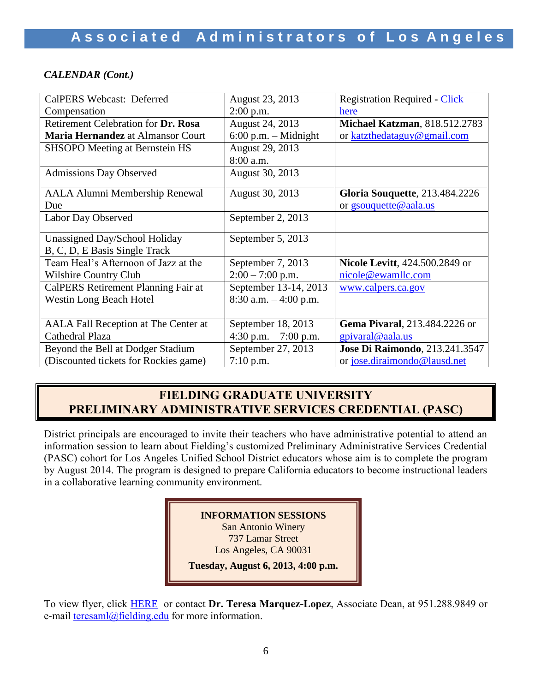### *CALENDAR (Cont.)*

| <b>CalPERS Webcast: Deferred</b>         | August 23, 2013          | <b>Registration Required - Click</b>   |
|------------------------------------------|--------------------------|----------------------------------------|
| Compensation                             | $2:00$ p.m.              | here                                   |
| Retirement Celebration for Dr. Rosa      | August 24, 2013          | Michael Katzman, 818.512.2783          |
| <b>Maria Hernandez</b> at Almansor Court | $6:00$ p.m. – Midnight   | or katzthedataguy@gmail.com            |
| SHSOPO Meeting at Bernstein HS           | August 29, 2013          |                                        |
|                                          | 8:00 a.m.                |                                        |
| <b>Admissions Day Observed</b>           | August 30, 2013          |                                        |
|                                          |                          |                                        |
| <b>AALA Alumni Membership Renewal</b>    | August 30, 2013          | <b>Gloria Souquette, 213.484.2226</b>  |
| Due                                      |                          | or gsouquette@aala.us                  |
| Labor Day Observed                       | September 2, 2013        |                                        |
|                                          |                          |                                        |
| Unassigned Day/School Holiday            | September 5, 2013        |                                        |
| B, C, D, E Basis Single Track            |                          |                                        |
| Team Heal's Afternoon of Jazz at the     | September 7, 2013        | <b>Nicole Levitt, 424.500.2849 or</b>  |
| <b>Wilshire Country Club</b>             | $2:00 - 7:00$ p.m.       | nicole@ewamllc.com                     |
| CalPERS Retirement Planning Fair at      | September 13-14, 2013    | www.calpers.ca.gov                     |
| <b>Westin Long Beach Hotel</b>           | $8:30$ a.m. $-4:00$ p.m. |                                        |
|                                          |                          |                                        |
| AALA Fall Reception at The Center at     | September 18, 2013       | Gema Pivaral, 213.484.2226 or          |
| Cathedral Plaza                          | 4:30 p.m. $-7:00$ p.m.   | gpivaral@aala.us                       |
| Beyond the Bell at Dodger Stadium        | September 27, 2013       | <b>Jose Di Raimondo</b> , 213.241.3547 |
| (Discounted tickets for Rockies game)    | $7:10$ p.m.              | or jose.diraimondo@lausd.net           |

### **FIELDING GRADUATE UNIVERSITY PRELIMINARY ADMINISTRATIVE SERVICES CREDENTIAL (PASC)**

District principals are encouraged to invite their teachers who have administrative potential to attend an information session to learn about Fielding's customized Preliminary Administrative Services Credential (PASC) cohort for Los Angeles Unified School District educators whose aim is to complete the program by August 2014. The program is designed to prepare California educators to become instructional leaders in a collaborative learning community environment.

### **INFORMATION SESSIONS**

San Antonio Winery 737 Lamar Street

Los Angeles, CA 90031

**Tuesday, August 6, 2013, 4:00 p.m.**

To view flyer, click [HERE](http://www.aala.us/docs/2013/07/2013-LAUSD-Flier-5-28-13-R2-4corrected.docx) or contact **Dr. Teresa Marquez-Lopez**, Associate Dean, at 951.288.9849 or e-mail <u>teresaml</u>@fielding.edu for more information. **TUESDAY, 111, 2014, 12014**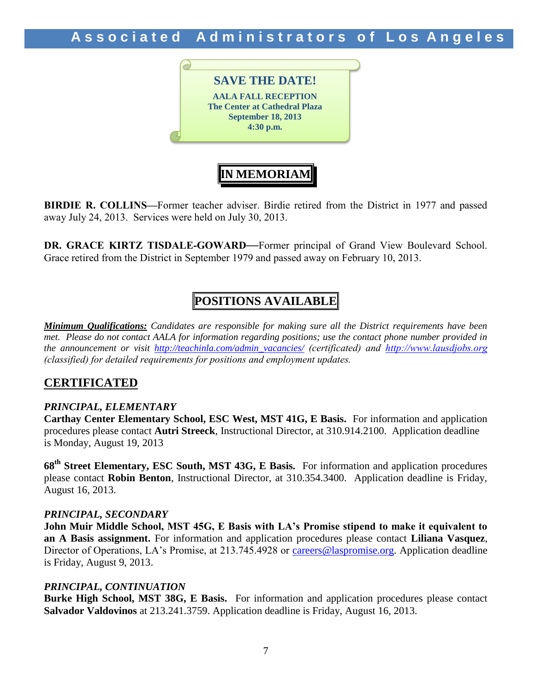Associated Administrators of Los Angeles



**BIRDIE R. COLLINS—**Former teacher adviser. Birdie retired from the District in 1977 and passed away July 24, 2013. Services were held on July 30, 2013.

**IN MEMORIAM**

**DR. GRACE KIRTZ TISDALE-GOWARD—**Former principal of Grand View Boulevard School. Grace retired from the District in September 1979 and passed away on February 10, 2013.

## **POSITIONS AVAILABLE**

*Minimum Qualifications: Candidates are responsible for making sure all the District requirements have been met. Please do not contact AALA for information regarding positions; use the contact phone number provided in the announcement or visit [http://teachinla.com/admin\\_vacancies/](http://teachinla.com/admin_vacancies/) (certificated) and [http://www.lausdjobs.org](http://www.lausdjobs.org/)  (classified) for detailed requirements for positions and employment updates.*

### **CERTIFICATED**

### *PRINCIPAL, ELEMENTARY*

**Carthay Center Elementary School, ESC West, MST 41G, E Basis.** For information and application procedures please contact **Autri Streeck**, Instructional Director, at 310.914.2100. Application deadline is Monday, August 19, 2013

**68th Street Elementary, ESC South, MST 43G, E Basis.** For information and application procedures please contact **Robin Benton**, Instructional Director, at 310.354.3400. Application deadline is Friday, August 16, 2013.

#### *PRINCIPAL, SECONDARY*

**John Muir Middle School, MST 45G, E Basis with LA's Promise stipend to make it equivalent to an A Basis assignment.** For information and application procedures please contact **Liliana Vasquez**, Director of Operations, LA's Promise, at 213.745.4928 or [careers@laspromise.org.](mailto:careers@laspromise.org) Application deadline is Friday, August 9, 2013.

### *PRINCIPAL, CONTINUATION*

**Burke High School, MST 38G, E Basis.** For information and application procedures please contact **Salvador Valdovinos** at 213.241.3759. Application deadline is Friday, August 16, 2013.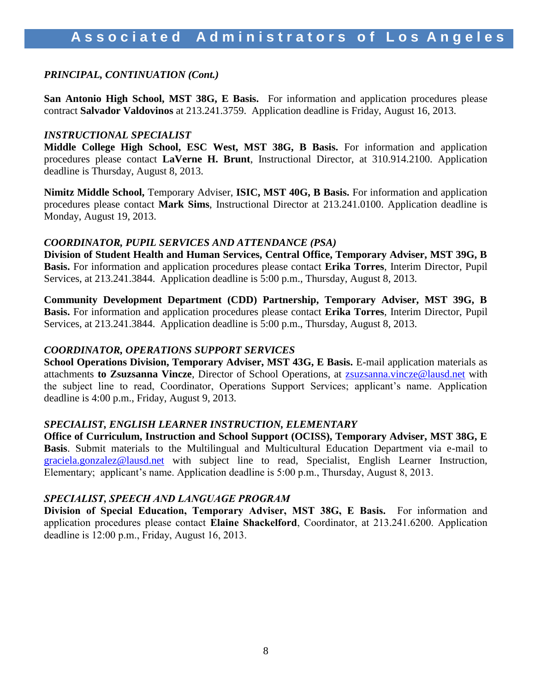### *PRINCIPAL, CONTINUATION (Cont.)*

**San Antonio High School, MST 38G, E Basis.** For information and application procedures please contract **Salvador Valdovinos** at 213.241.3759. Application deadline is Friday, August 16, 2013.

#### *INSTRUCTIONAL SPECIALIST*

**Middle College High School, ESC West, MST 38G, B Basis.** For information and application procedures please contact **LaVerne H. Brunt**, Instructional Director, at 310.914.2100. Application deadline is Thursday, August 8, 2013.

**Nimitz Middle School,** Temporary Adviser, **ISIC, MST 40G, B Basis.** For information and application procedures please contact **Mark Sims**, Instructional Director at 213.241.0100. Application deadline is Monday, August 19, 2013.

### *COORDINATOR, PUPIL SERVICES AND ATTENDANCE (PSA)*

**Division of Student Health and Human Services, Central Office, Temporary Adviser, MST 39G, B Basis.** For information and application procedures please contact **Erika Torres**, Interim Director, Pupil Services, at 213.241.3844. Application deadline is 5:00 p.m., Thursday, August 8, 2013.

**Community Development Department (CDD) Partnership, Temporary Adviser, MST 39G, B Basis.** For information and application procedures please contact **Erika Torres**, Interim Director, Pupil Services, at 213.241.3844. Application deadline is 5:00 p.m., Thursday, August 8, 2013.

### *COORDINATOR, OPERATIONS SUPPORT SERVICES*

**School Operations Division, Temporary Adviser, MST 43G, E Basis.** E-mail application materials as attachments **to Zsuzsanna Vincze**, Director of School Operations, at [zsuzsanna.vincze@lausd.net](mailto:zsuzsanna.vincze@lausd.net) with the subject line to read, Coordinator, Operations Support Services; applicant's name. Application deadline is 4:00 p.m., Friday, August 9, 2013.

### *SPECIALIST, ENGLISH LEARNER INSTRUCTION, ELEMENTARY*

**Office of Curriculum, Instruction and School Support (OCISS), Temporary Adviser, MST 38G, E Basis**. Submit materials to the Multilingual and Multicultural Education Department via e-mail to [graciela.gonzalez@lausd.net](mailto:graciela.gonzalez@lausd.net) with subject line to read, Specialist, English Learner Instruction, Elementary; applicant's name. Application deadline is 5:00 p.m., Thursday, August 8, 2013.

### *SPECIALIST, SPEECH AND LANGUAGE PROGRAM*

**Division of Special Education, Temporary Adviser, MST 38G, E Basis.** For information and application procedures please contact **Elaine Shackelford**, Coordinator, at 213.241.6200. Application deadline is 12:00 p.m., Friday, August 16, 2013.